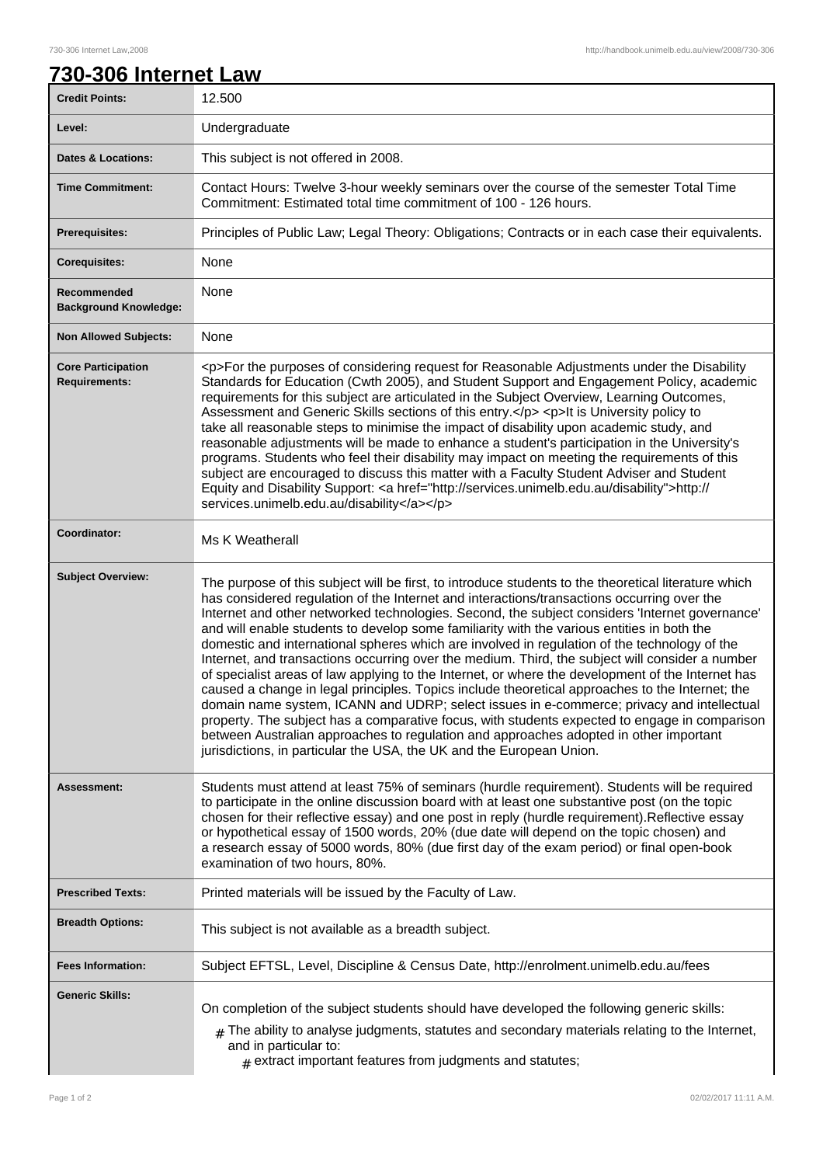## **730-306 Internet Law**

| <b>Credit Points:</b>                             | 12.500                                                                                                                                                                                                                                                                                                                                                                                                                                                                                                                                                                                                                                                                                                                                                                                                                                                                                                                                                                                                                                                                                                                                                                       |
|---------------------------------------------------|------------------------------------------------------------------------------------------------------------------------------------------------------------------------------------------------------------------------------------------------------------------------------------------------------------------------------------------------------------------------------------------------------------------------------------------------------------------------------------------------------------------------------------------------------------------------------------------------------------------------------------------------------------------------------------------------------------------------------------------------------------------------------------------------------------------------------------------------------------------------------------------------------------------------------------------------------------------------------------------------------------------------------------------------------------------------------------------------------------------------------------------------------------------------------|
| Level:                                            | Undergraduate                                                                                                                                                                                                                                                                                                                                                                                                                                                                                                                                                                                                                                                                                                                                                                                                                                                                                                                                                                                                                                                                                                                                                                |
| <b>Dates &amp; Locations:</b>                     | This subject is not offered in 2008.                                                                                                                                                                                                                                                                                                                                                                                                                                                                                                                                                                                                                                                                                                                                                                                                                                                                                                                                                                                                                                                                                                                                         |
| <b>Time Commitment:</b>                           | Contact Hours: Twelve 3-hour weekly seminars over the course of the semester Total Time<br>Commitment: Estimated total time commitment of 100 - 126 hours.                                                                                                                                                                                                                                                                                                                                                                                                                                                                                                                                                                                                                                                                                                                                                                                                                                                                                                                                                                                                                   |
| <b>Prerequisites:</b>                             | Principles of Public Law; Legal Theory: Obligations; Contracts or in each case their equivalents.                                                                                                                                                                                                                                                                                                                                                                                                                                                                                                                                                                                                                                                                                                                                                                                                                                                                                                                                                                                                                                                                            |
| <b>Corequisites:</b>                              | None                                                                                                                                                                                                                                                                                                                                                                                                                                                                                                                                                                                                                                                                                                                                                                                                                                                                                                                                                                                                                                                                                                                                                                         |
| Recommended<br><b>Background Knowledge:</b>       | None                                                                                                                                                                                                                                                                                                                                                                                                                                                                                                                                                                                                                                                                                                                                                                                                                                                                                                                                                                                                                                                                                                                                                                         |
| <b>Non Allowed Subjects:</b>                      | None                                                                                                                                                                                                                                                                                                                                                                                                                                                                                                                                                                                                                                                                                                                                                                                                                                                                                                                                                                                                                                                                                                                                                                         |
| <b>Core Participation</b><br><b>Requirements:</b> | <p>For the purposes of considering request for Reasonable Adjustments under the Disability<br/>Standards for Education (Cwth 2005), and Student Support and Engagement Policy, academic<br/>requirements for this subject are articulated in the Subject Overview, Learning Outcomes,<br/>Assessment and Generic Skills sections of this entry.</p> <p>lt is University policy to<br/>take all reasonable steps to minimise the impact of disability upon academic study, and<br/>reasonable adjustments will be made to enhance a student's participation in the University's<br/>programs. Students who feel their disability may impact on meeting the requirements of this<br/>subject are encouraged to discuss this matter with a Faculty Student Adviser and Student<br/>Equity and Disability Support: &lt; a href="http://services.unimelb.edu.au/disability"&gt;http://<br/>services.unimelb.edu.au/disability</p>                                                                                                                                                                                                                                                 |
| Coordinator:                                      | Ms K Weatherall                                                                                                                                                                                                                                                                                                                                                                                                                                                                                                                                                                                                                                                                                                                                                                                                                                                                                                                                                                                                                                                                                                                                                              |
| <b>Subject Overview:</b>                          | The purpose of this subject will be first, to introduce students to the theoretical literature which<br>has considered regulation of the Internet and interactions/transactions occurring over the<br>Internet and other networked technologies. Second, the subject considers 'Internet governance'<br>and will enable students to develop some familiarity with the various entities in both the<br>domestic and international spheres which are involved in regulation of the technology of the<br>Internet, and transactions occurring over the medium. Third, the subject will consider a number<br>of specialist areas of law applying to the Internet, or where the development of the Internet has<br>caused a change in legal principles. Topics include theoretical approaches to the Internet; the<br>domain name system, ICANN and UDRP; select issues in e-commerce; privacy and intellectual<br>property. The subject has a comparative focus, with students expected to engage in comparison<br>between Australian approaches to regulation and approaches adopted in other important<br>jurisdictions, in particular the USA, the UK and the European Union. |
| Assessment:                                       | Students must attend at least 75% of seminars (hurdle requirement). Students will be required<br>to participate in the online discussion board with at least one substantive post (on the topic<br>chosen for their reflective essay) and one post in reply (hurdle requirement). Reflective essay<br>or hypothetical essay of 1500 words, 20% (due date will depend on the topic chosen) and<br>a research essay of 5000 words, 80% (due first day of the exam period) or final open-book<br>examination of two hours, 80%.                                                                                                                                                                                                                                                                                                                                                                                                                                                                                                                                                                                                                                                 |
| <b>Prescribed Texts:</b>                          | Printed materials will be issued by the Faculty of Law.                                                                                                                                                                                                                                                                                                                                                                                                                                                                                                                                                                                                                                                                                                                                                                                                                                                                                                                                                                                                                                                                                                                      |
| <b>Breadth Options:</b>                           | This subject is not available as a breadth subject.                                                                                                                                                                                                                                                                                                                                                                                                                                                                                                                                                                                                                                                                                                                                                                                                                                                                                                                                                                                                                                                                                                                          |
| <b>Fees Information:</b>                          | Subject EFTSL, Level, Discipline & Census Date, http://enrolment.unimelb.edu.au/fees                                                                                                                                                                                                                                                                                                                                                                                                                                                                                                                                                                                                                                                                                                                                                                                                                                                                                                                                                                                                                                                                                         |
| <b>Generic Skills:</b>                            | On completion of the subject students should have developed the following generic skills:<br>The ability to analyse judgments, statutes and secondary materials relating to the Internet,<br>and in particular to:<br>$#$ extract important features from judgments and statutes;                                                                                                                                                                                                                                                                                                                                                                                                                                                                                                                                                                                                                                                                                                                                                                                                                                                                                            |